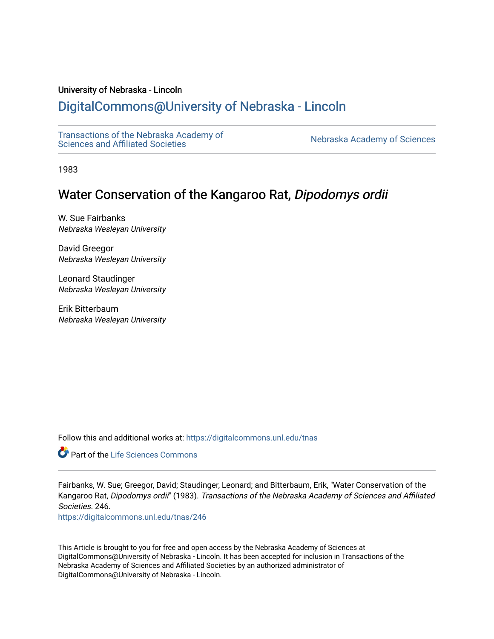# University of Nebraska - Lincoln

# [DigitalCommons@University of Nebraska - Lincoln](https://digitalcommons.unl.edu/)

[Transactions of the Nebraska Academy of](https://digitalcommons.unl.edu/tnas)  Transactions of the Nebraska Academy of Sciences<br>Sciences and Affiliated Societies

1983

# Water Conservation of the Kangaroo Rat, Dipodomys ordii

W. Sue Fairbanks Nebraska Wesleyan University

David Greegor Nebraska Wesleyan University

Leonard Staudinger Nebraska Wesleyan University

Erik Bitterbaum Nebraska Wesleyan University

Follow this and additional works at: [https://digitalcommons.unl.edu/tnas](https://digitalcommons.unl.edu/tnas?utm_source=digitalcommons.unl.edu%2Ftnas%2F246&utm_medium=PDF&utm_campaign=PDFCoverPages) 

Part of the [Life Sciences Commons](http://network.bepress.com/hgg/discipline/1016?utm_source=digitalcommons.unl.edu%2Ftnas%2F246&utm_medium=PDF&utm_campaign=PDFCoverPages) 

Fairbanks, W. Sue; Greegor, David; Staudinger, Leonard; and Bitterbaum, Erik, "Water Conservation of the Kangaroo Rat, Dipodomys ordii" (1983). Transactions of the Nebraska Academy of Sciences and Affiliated Societies. 246.

[https://digitalcommons.unl.edu/tnas/246](https://digitalcommons.unl.edu/tnas/246?utm_source=digitalcommons.unl.edu%2Ftnas%2F246&utm_medium=PDF&utm_campaign=PDFCoverPages) 

This Article is brought to you for free and open access by the Nebraska Academy of Sciences at DigitalCommons@University of Nebraska - Lincoln. It has been accepted for inclusion in Transactions of the Nebraska Academy of Sciences and Affiliated Societies by an authorized administrator of DigitalCommons@University of Nebraska - Lincoln.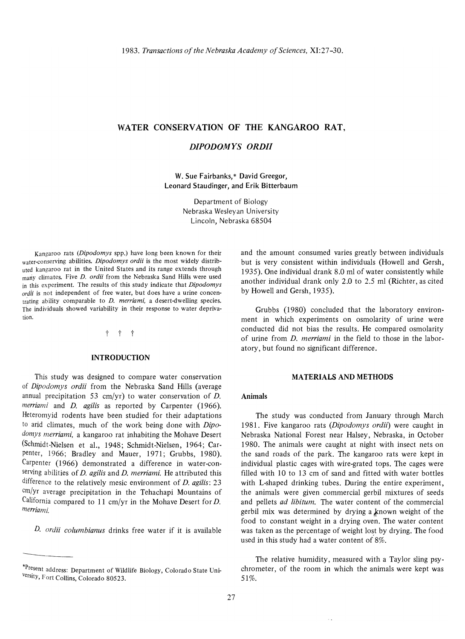# WATER CONSERVATION OF THE KANGAROO RAT,

# *DIPODOMYS ORDII*

W. Sue Fairbanks,\* David Greegor, Leonard Staudinger, and Erik Bitterbaum

> Department of Biology Nebraska Wesleyan University Lincoln, Nebraska 68504

Kangaroo rats *(Dipodomys* spp.) have long been known for their water-conserving abilities. *Dipodomys ordii* is the most widely distributed kangaroo rat in the United States and its range extends through many climates. Five *D. ordii* from the Nebraska Sand Hills were used in this experiment. The results of this study indicate that *Dipodomys*  ordii is not independent of free water, but does have a urine concentrating ability comparable to *D. merriami*, a desert-dwelling species. The individuals showed variability in their response to water deprivation:

## t t t

## INTRODUCTION

This study was designed to compare water conservation of *Dipodomys ordii* from the Nebraska Sand Hills (average annual precipitation 53 cm/yr) to water conservation of  $D$ . *merriami* and *D. agilis* as reported by Carpenter (1966). Heteromyid rodents have been studied for their adaptations to arid climates, much of the work being done with *Dipodomys merriami,* a kangaroo rat inhabiting the Mohave Desert (Schmidt-Nielsen et aI., 1948; Schmidt-Nielsen, 1964; Carpenter, 1966; Bradley and Mauer, 1971; Grubbs, 1980). Carpenter (1966) demonstrated a difference in water-conserving abilities of *D. agilis* and *D. merriami.* He attributed this difference to the relatively mesic environment of *D. agilis: 23*  cm/yr average precipitation in the Tehachapi Mountains of California compared to 11 cm/yr in the Mohave Desert for D. *merriami.* 

*D. ordii columbianus* drinks free water if it is available

-------

and the amount consumed varies greatly between individuals but is very consistent within individuals (Howell and Gersh, 1935). One individual drank 8.0 ml of water consistently while another individual drank only 2.0 to 2.5 ml (Richter, as cited by Howell and Gersh, 1935).

Grubbs (1980) concluded that the laboratory environment in which experiments on osmolarity of urine were conducted did not bias the results. He compared osmolarity of urine from *D. merriami* in the field to those in the laboratory, but found no significant difference.

#### MATERIALS AND METHODS

## Animals

The study was conducted from January through March 1981. Five kangaroo rats *(Dipodomys ordii)* were caught in Nebraska National Forest near Halsey, Nebraska, in October 1980. The animals were caught at night with insect nets on the sand roads of the park. The kangaroo rats were kept in individual plastic cages with wire-grated tops. The cages were filled with 10 to 13 cm of sand and fitted with water bottles with L-shaped drinking tubes. During the entire experiment, the animals were given commercial gerbil mixtures of seeds and pellets *ad libitum.* The water content of the commercial gerbil mix was determined by drying a known weight of the food to constant weight in a drying oven. The water content was taken as the percentage of weight lost by drying. The food used in this study had a water content of 8%.

The relative humidity, measured with a Taylor sling psychrometer, of the room in which the animals were kept was 51%.

 $\sim$   $\sim$ 

<sup>&#</sup>x27;Present address: Department of Wildlife Biology, Colorado State University, Fort Collins, Colorado 80523.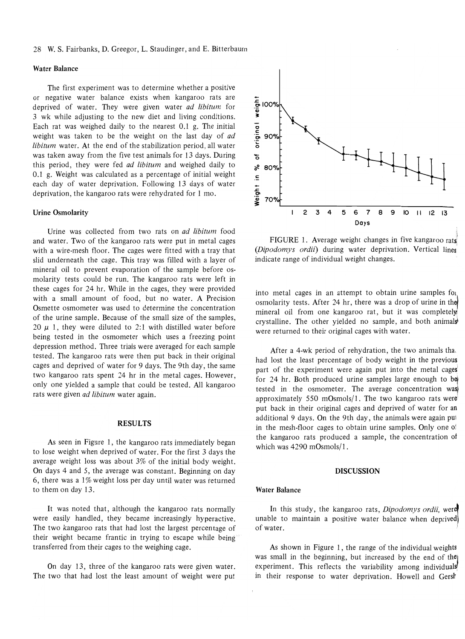#### 28 W. S. Fairbanks, D. Greegor, L. Staudinger, and E. Bitterbaum

## Water Balance

The first experiment was to determine whether a positive or negative water balance exists when kangaroo rats are deprived of water. They were given water *ad libitum* for 3 wk while adjusting to the new diet and living conditions. Each rat was weighed daily to the nearest 0.1 g. The initial weight was taken to be the weight on the last day of *ad libitum* water. At the end of the stabilization period, all water was taken away from the five test animals for 13 days. During this period, they were fed *ad libitum* and weighed daily to 0.1 g. Weight was calculated as a percentage of initial weight each day of water deprivation. Following 13 days of water deprivation, the kangaroo rats were rehydrated for 1 mo.

### Urine Osmolarity

Urine was collected from two rats on *ad libitum* food and water. Two of the kangaroo rats were put in metal cages with a wire-mesh floor. The cages were fitted with a tray that slid underneath the cage. This tray was filled with a layer of mineral oil to prevent evaporation of the sample before osmolarity tests could be run. The kangaroo rats were left in these cages for 24 hr. While in the cages, they were provided with a small amount of food, but no water. A Precision Osmette osmometer was used to determine the concentration of the urine sample. Because of the small size of the samples, 20  $\mu$  1, they were diluted to 2:1 with distilled water before being tested in the osmometer which uses a freezing point depression method. Three trials were averaged for each sample tested. The kangaroo rats were then put back in their original cages and deprived of water for 9 days. The 9th day, the same two kangaroo rats spent 24 hr in the metal cages. However, only one yielded a sample that could be tested. All kangaroo rats were given *ad libitum* water again.

# RESULTS

As seen in Figure 1, the kangaroo rats immediately began to lose weight when deprived of water. For the first 3 days the average weight loss was about 3% of the initial body weight. On days 4 and 5, the average was constant. Beginning on day 6, there was a  $1\%$  weight loss per day until water was returned to them on day 13.

It was noted that, although the kangaroo rats normally were easily handled, they became increasingly hyperactive. The two kangaroo rats that had lost the largest percentage of their weight became frantic in trying to escape while being transferred from their cages to the weighing cage.

On day 13, three of the kangaroo rats were given water. The two that had lost the least amount of weight were put



FIGURE 1. Average weight changes in five kangaroo rats *(Dipodomys ordii)* during water deprivation. Vertical lines' indicate range of individual weight changes.

into metal cages in an attempt to obtain urine samples for osmolarity tests. After 24 hr, there was a drop of urine in the mineral oil from one kangaroo rat, but it was completely crystalline. The other yielded no sample, and both animals were returned to their original cages with water.

After a 4-wk period of rehydration, the two animals tha, had lost the least percentage of body weight in the previous part of the experiment were again put into the metal cages' for 24 hr. Both produced urine samples large enough to be tested in the osmometer. The average concentration was approximately 550 mOsmols/1. The two kangaroo rats were put back in their original cages and deprived of water for an additional 9 days. On the 9th day, the animals were again put in the mesh-floor cages to obtain urine samples. Only one of the kangaroo rats produced a sample, the concentration of which was 4290 mOsmols/l.

#### DISCUSSION

#### Water Balance

In this study, the kangaroo rats, *Dipodomys ordii*, were unable to maintain a positive water balance when deprived) of water.

As shown in Figure 1, the range of the individual weights was small in the beginning, but increased by the end of the experiment. This reflects the variability among individuals in their response to water deprivation. Howell and Gersh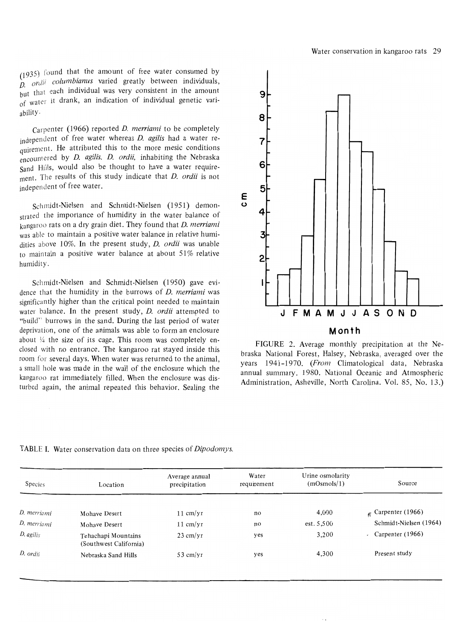(1935) found that the amount of free water consumed by D. *art/II columbianus* varied greatly between individuals, but that each individual was very consistent in the amount of water it drank, an indication of individual genetic variability.

Carpenter (1966) reported *D. merriami* to be completely independent of free water whereas *D. agilis* had a water requirement. He attributed this to the more mesic conditions encountered by *D. agilis. D. ordii,* inhabiting the Nebraska Sand Hills, would also be thought to have a water requirement. The results of this study indicate that *D. ordii* is not independent of free water.

Schmidt-Nielsen and Schmidt-Nielsen (1951) demonstrated the importance of humidity in the water balance of kangaroo rats on a dry grain diet. They found that *D. merriami*  was able to maintain a positive water balance in relative humidities above 10%. In the present study, *D. ordii* was unable to maintain a positive water balance at about  $51\%$  relative humidity.

Schmidt-Nielsen and Schmidt-Nielsen (1950) gave evidence that the humidity in the burrows of *D. merriami* was significantly higher than the critical point needed to maintain water balance. In the present study, *D. ordii* attempted to "build" burrows in the sand. During the last period of water deprivation, one of the animals was able to form an enclosure about  $\frac{1}{4}$  the size of its cage. This room was completely enclosed with no entrance. The kangaroo rat stayed inside this room for several days. When water was returned to the animal, a small hole was made in the wall of the enclosure which the kangaroo rat immediately filled. When the enclosure was disturbed again, the animal repeated this behavior. Sealing the



FIGURE 2. Average monthly precipitation at the Nebraska National Forest, Halsey, Nebraska, averaged over the years 1941-1970. *(From* Climatological data, Nebraska annual summary. 1980. National Oceanic and Atmospheric Administration, Asheville, North Carolina. Vol. 85, No. 13.)

TABLE I. Water conservation data on three species of *Dipodomys.* 

| <b>Species</b> | Location                                      | Average annual<br>precipitation | Water<br>requirement | Urine osmolarity<br>(mOsmols/1) | Source                          |
|----------------|-----------------------------------------------|---------------------------------|----------------------|---------------------------------|---------------------------------|
| D. merriami    | Mohave Desert                                 | $11 \text{ cm}/\text{yr}$       | no                   | 4,000                           | $\kappa$ Carpenter (1966)       |
| D. merriami    | Mohave Desert                                 | $11 \text{ cm}/\text{yr}$       | no                   | est. 5,500                      | Schmidt-Nielsen (1964)          |
| $D.$ agilis    | Tehachapi Mountains<br>(Southwest California) | $23$ cm/yr                      | yes                  | 3,200                           | Carpenter (1966)<br>$\bullet^+$ |
| D. ordii       | Nebraska Sand Hills                           | $53$ cm/yr                      | yes                  | 4,300                           | Present study                   |